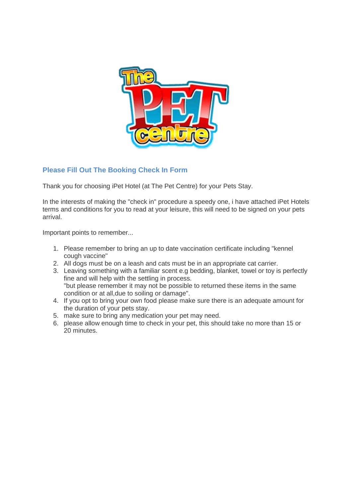

# **Please Fill Out The Booking Check In Form**

Thank you for choosing iPet Hotel (at The Pet Centre) for your Pets Stay.

In the interests of making the "check in" procedure a speedy one, i have attached iPet Hotels terms and conditions for you to read at your leisure, this will need to be signed on your pets arrival.

Important points to remember...

- 1. Please remember to bring an up to date vaccination certificate including "kennel cough vaccine"
- 2. All dogs must be on a leash and cats must be in an appropriate cat carrier.
- 3. Leaving something with a familiar scent e.g bedding, blanket, towel or toy is perfectly fine and will help with the settling in process. "but please remember it may not be possible to returned these items in the same condition or at all,due to soiling or damage".
- 4. If you opt to bring your own food please make sure there is an adequate amount for the duration of your pets stay.
- 5. make sure to bring any medication your pet may need.
- 6. please allow enough time to check in your pet, this should take no more than 15 or 20 minutes.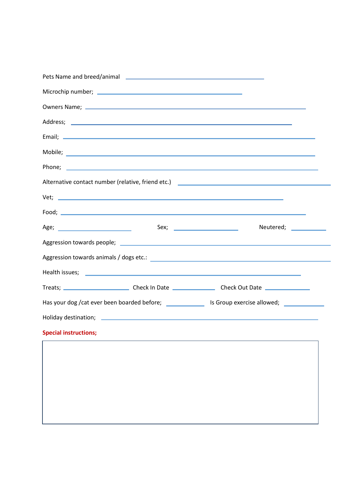| Alternative contact number (relative, friend etc.) [2001] [2012] [2012] [2012] [2012] [2012] [2012] [2012] [20 |  |                        |  |
|----------------------------------------------------------------------------------------------------------------|--|------------------------|--|
|                                                                                                                |  | $Vert$ $\frac{1}{2}$   |  |
|                                                                                                                |  |                        |  |
|                                                                                                                |  | Neutered; ____________ |  |
|                                                                                                                |  |                        |  |
|                                                                                                                |  |                        |  |
|                                                                                                                |  |                        |  |
|                                                                                                                |  |                        |  |
| Has your dog /cat ever been boarded before; _________________ Is Group exercise allowed; ___________           |  |                        |  |
|                                                                                                                |  |                        |  |
| <b>Special instructions;</b>                                                                                   |  |                        |  |
|                                                                                                                |  |                        |  |
|                                                                                                                |  |                        |  |
|                                                                                                                |  |                        |  |
|                                                                                                                |  |                        |  |
|                                                                                                                |  |                        |  |
|                                                                                                                |  |                        |  |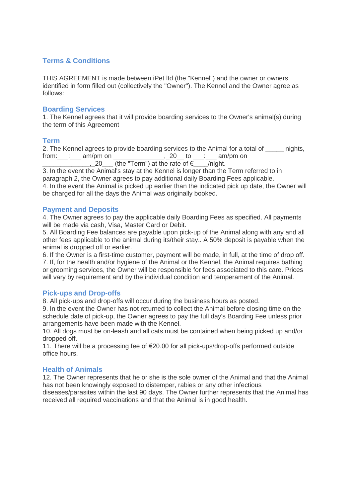# **Terms & Conditions**

THIS AGREEMENT is made between iPet ltd (the "Kennel") and the owner or owners identified in form filled out (collectively the "Owner"). The Kennel and the Owner agree as follows:

### **Boarding Services**

1. The Kennel agrees that it will provide boarding services to the Owner's animal(s) during the term of this Agreement

### **Term**

2. The Kennel agrees to provide boarding services to the Animal for a total of canidating  $from:$   $\_\_\_\_\_\_\_\_\$  am/pm on  $\_\_\_\_\_\_\_\_\_\_$   $\_\_\_\_\_\_\_\_\_\_\_\_$  to  $\_\_\_\_\_\_\_\_$  am/pm on

 $\frac{1}{20}$  (the "Term") at the rate of  $\epsilon$  /night.

3. In the event the Animal's stay at the Kennel is longer than the Term referred to in paragraph 2, the Owner agrees to pay additional daily Boarding Fees applicable. 4. In the event the Animal is picked up earlier than the indicated pick up date, the Owner will be charged for all the days the Animal was originally booked.

### **Payment and Deposits**

4. The Owner agrees to pay the applicable daily Boarding Fees as specified. All payments will be made via cash, Visa, Master Card or Debit.

5. All Boarding Fee balances are payable upon pick-up of the Animal along with any and all other fees applicable to the animal during its/their stay.. A 50% deposit is payable when the animal is dropped off or earlier.

6. If the Owner is a first-time customer, payment will be made, in full, at the time of drop off. 7. If, for the health and/or hygiene of the Animal or the Kennel, the Animal requires bathing or grooming services, the Owner will be responsible for fees associated to this care. Prices will vary by requirement and by the individual condition and temperament of the Animal.

### **Pick-ups and Drop-offs**

8. All pick-ups and drop-offs will occur during the business hours as posted.

9. In the event the Owner has not returned to collect the Animal before closing time on the schedule date of pick-up, the Owner agrees to pay the full day's Boarding Fee unless prior arrangements have been made with the Kennel.

10. All dogs must be on-leash and all cats must be contained when being picked up and/or dropped off.

11. There will be a processing fee of €20.00 for all pick-ups/drop-offs performed outside office hours.

# **Health of Animals**

12. The Owner represents that he or she is the sole owner of the Animal and that the Animal has not been knowingly exposed to distemper, rabies or any other infectious

diseases/parasites within the last 90 days. The Owner further represents that the Animal has received all required vaccinations and that the Animal is in good health.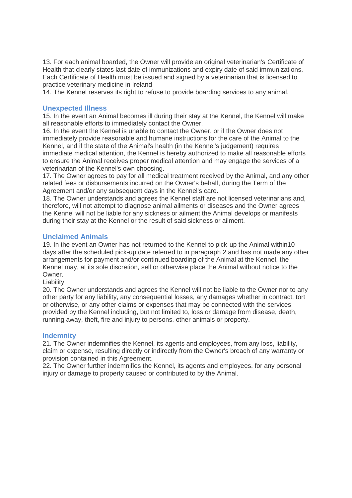13. For each animal boarded, the Owner will provide an original veterinarian's Certificate of Health that clearly states last date of immunizations and expiry date of said immunizations. Each Certificate of Health must be issued and signed by a veterinarian that is licensed to practice veterinary medicine in Ireland

14. The Kennel reserves its right to refuse to provide boarding services to any animal.

### **Unexpected Illness**

15. In the event an Animal becomes ill during their stay at the Kennel, the Kennel will make all reasonable efforts to immediately contact the Owner.

16. In the event the Kennel is unable to contact the Owner, or if the Owner does not immediately provide reasonable and humane instructions for the care of the Animal to the Kennel, and if the state of the Animal's health (in the Kennel's judgement) requires immediate medical attention, the Kennel is hereby authorized to make all reasonable efforts to ensure the Animal receives proper medical attention and may engage the services of a veterinarian of the Kennel's own choosing.

17. The Owner agrees to pay for all medical treatment received by the Animal, and any other related fees or disbursements incurred on the Owner's behalf, during the Term of the Agreement and/or any subsequent days in the Kennel's care.

18. The Owner understands and agrees the Kennel staff are not licensed veterinarians and, therefore, will not attempt to diagnose animal ailments or diseases and the Owner agrees the Kennel will not be liable for any sickness or ailment the Animal develops or manifests during their stay at the Kennel or the result of said sickness or ailment.

### **Unclaimed Animals**

19. In the event an Owner has not returned to the Kennel to pick-up the Animal within10 days after the scheduled pick-up date referred to in paragraph 2 and has not made any other arrangements for payment and/or continued boarding of the Animal at the Kennel, the Kennel may, at its sole discretion, sell or otherwise place the Animal without notice to the Owner.

Liability

20. The Owner understands and agrees the Kennel will not be liable to the Owner nor to any other party for any liability, any consequential losses, any damages whether in contract, tort or otherwise, or any other claims or expenses that may be connected with the services provided by the Kennel including, but not limited to, loss or damage from disease, death, running away, theft, fire and injury to persons, other animals or property.

### **Indemnity**

21. The Owner indemnifies the Kennel, its agents and employees, from any loss, liability, claim or expense, resulting directly or indirectly from the Owner's breach of any warranty or provision contained in this Agreement.

22. The Owner further indemnifies the Kennel, its agents and employees, for any personal injury or damage to property caused or contributed to by the Animal.